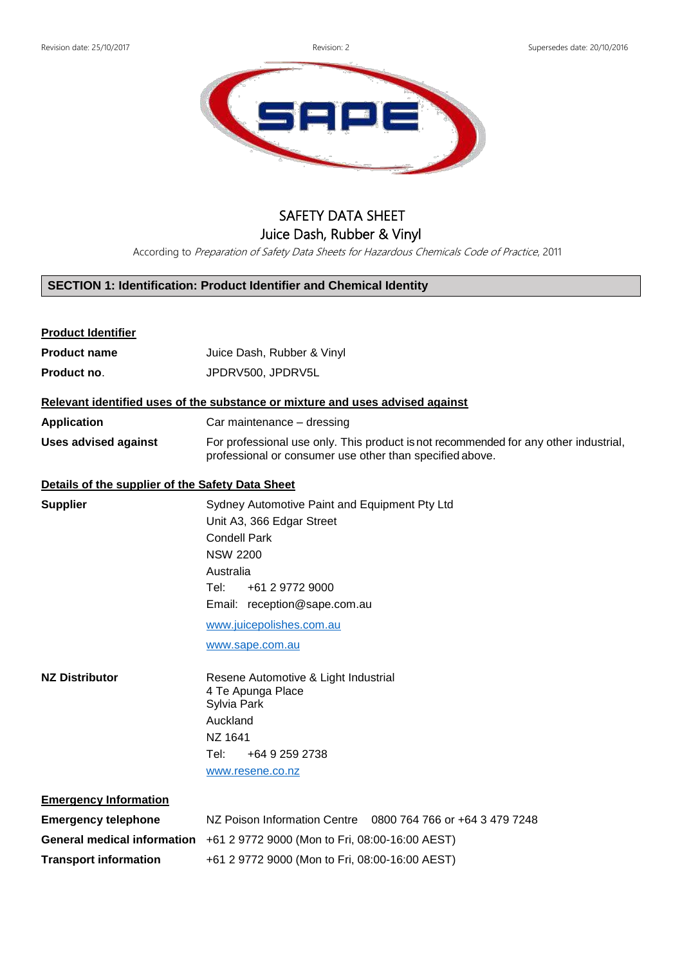

## SAFETY DATA SHEET Juice Dash, Rubber & Vinyl

According to Preparation of Safety Data Sheets for Hazardous Chemicals Code of Practice, 2011

### **SECTION 1: Identification: Product Identifier and Chemical Identity**

# **Product Identifier Product name** Juice Dash, Rubber & Vinyl **Product no**. JPDRV500, JPDRV5L **Relevant identified uses of the substance or mixture and uses advised against Application** Car maintenance – dressing **Uses advised against** For professional use only. This product isnot recommended for any other industrial, professional or consumer use other than specified above. **Details of the supplier of the Safety Data Sheet Supplier** Sydney Automotive Paint and Equipment Pty Ltd Unit A3, 366 Edgar Street Condell Park NSW 2200 Australia Tel: +61 2 9772 9000 Email: reception@sape.com.au [www.juicepolishes.com.au](http://www.juicepolishes.com.au/) [www.sape.com.au](http://www.sape.com.au/) **NZ Distributor** Resene Automotive & Light Industrial 4 Te Apunga Place Sylvia Park Auckland NZ 1641 Tel: +64 9 259 2738 [www.resene.co.nz](http://www.resene.co.nz/) **Emergency Information Emergency telephone** NZ Poison Information Centre 0800 764 766 or +64 3 479 7248 **General medical information** +61 2 9772 9000 (Mon to Fri, 08:00-16:00 AEST) **Transport information** +61 2 9772 9000 (Mon to Fri, 08:00-16:00 AEST)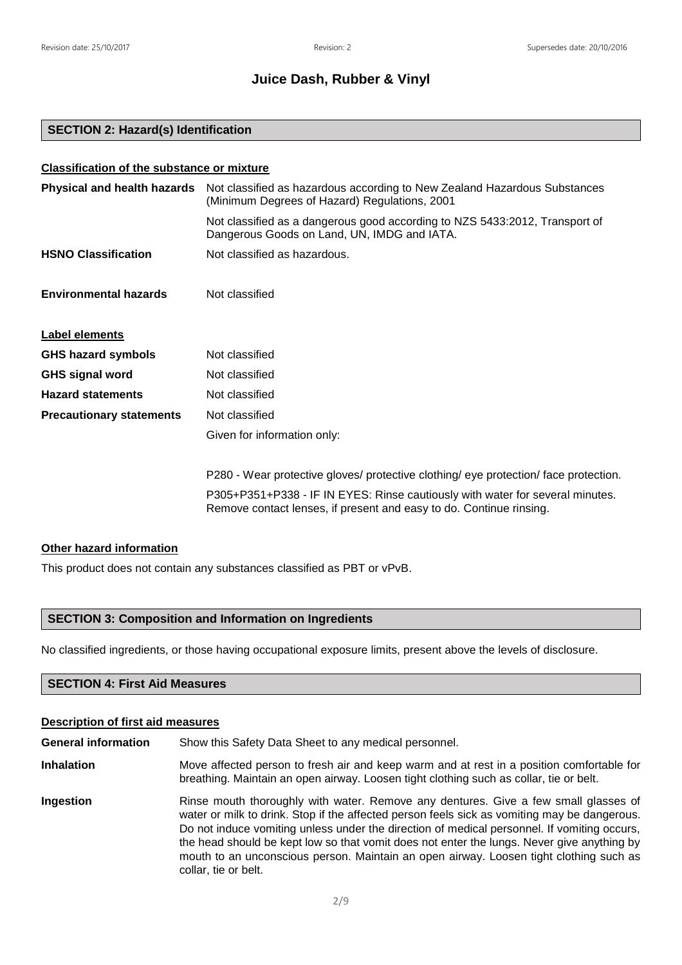#### **SECTION 2: Hazard(s) Identification**

## **Classification of the substance or mixture**

| Physical and health hazards     | Not classified as hazardous according to New Zealand Hazardous Substances<br>(Minimum Degrees of Hazard) Regulations, 2001                           |
|---------------------------------|------------------------------------------------------------------------------------------------------------------------------------------------------|
|                                 | Not classified as a dangerous good according to NZS 5433:2012, Transport of<br>Dangerous Goods on Land, UN, IMDG and IATA.                           |
| <b>HSNO Classification</b>      | Not classified as hazardous.                                                                                                                         |
| <b>Environmental hazards</b>    | Not classified                                                                                                                                       |
| Label elements                  |                                                                                                                                                      |
| <b>GHS hazard symbols</b>       | Not classified                                                                                                                                       |
| <b>GHS signal word</b>          | Not classified                                                                                                                                       |
| <b>Hazard statements</b>        | Not classified                                                                                                                                       |
| <b>Precautionary statements</b> | Not classified                                                                                                                                       |
|                                 | Given for information only:                                                                                                                          |
|                                 | P280 - Wear protective gloves/ protective clothing/ eye protection/ face protection.                                                                 |
|                                 | P305+P351+P338 - IF IN EYES: Rinse cautiously with water for several minutes.<br>Remove contact lenses, if present and easy to do. Continue rinsing. |

#### **Other hazard information**

This product does not contain any substances classified as PBT or vPvB.

#### **SECTION 3: Composition and Information on Ingredients**

No classified ingredients, or those having occupational exposure limits, present above the levels of disclosure.

#### **SECTION 4: First Aid Measures**

#### **Description of first aid measures**

**General information** Show this Safety Data Sheet to any medical personnel.

- **Inhalation** Move affected person to fresh air and keep warm and at rest in a position comfortable for breathing. Maintain an open airway. Loosen tight clothing such as collar, tie or belt.
- **Ingestion** Rinse mouth thoroughly with water. Remove any dentures. Give a few small glasses of water or milk to drink. Stop if the affected person feels sick as vomiting may be dangerous. Do not induce vomiting unless under the direction of medical personnel. If vomiting occurs, the head should be kept low so that vomit does not enter the lungs. Never give anything by mouth to an unconscious person. Maintain an open airway. Loosen tight clothing such as collar, tie or belt.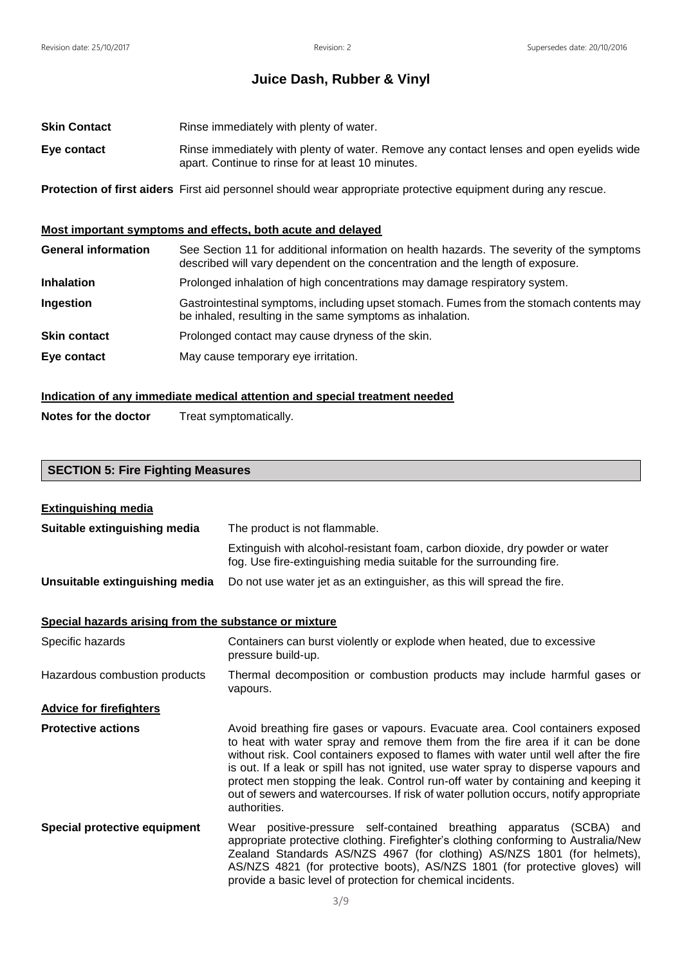- **Skin Contact** Rinse immediately with plenty of water.
- **Eye contact** Rinse immediately with plenty of water. Remove any contact lenses and open eyelids wide apart. Continue to rinse for at least 10 minutes.

**Protection of first aiders** First aid personnel should wear appropriate protective equipment during any rescue.

### **Most important symptoms and effects, both acute and delayed**

| <b>General information</b> | See Section 11 for additional information on health hazards. The severity of the symptoms<br>described will vary dependent on the concentration and the length of exposure. |
|----------------------------|-----------------------------------------------------------------------------------------------------------------------------------------------------------------------------|
| <b>Inhalation</b>          | Prolonged inhalation of high concentrations may damage respiratory system.                                                                                                  |
| Ingestion                  | Gastrointestinal symptoms, including upset stomach. Fumes from the stomach contents may<br>be inhaled, resulting in the same symptoms as inhalation.                        |
| <b>Skin contact</b>        | Prolonged contact may cause dryness of the skin.                                                                                                                            |
| Eye contact                | May cause temporary eye irritation.                                                                                                                                         |

### **Indication of any immediate medical attention and special treatment needed**

**Notes for the doctor** Treat symptomatically.

## **SECTION 5: Fire Fighting Measures**

| <b>Extinguishing media</b>                            |                                                                                                                                                                                                                                                                                                                                                                                                                                                                                                                                             |  |  |  |  |
|-------------------------------------------------------|---------------------------------------------------------------------------------------------------------------------------------------------------------------------------------------------------------------------------------------------------------------------------------------------------------------------------------------------------------------------------------------------------------------------------------------------------------------------------------------------------------------------------------------------|--|--|--|--|
| Suitable extinguishing media                          | The product is not flammable.                                                                                                                                                                                                                                                                                                                                                                                                                                                                                                               |  |  |  |  |
|                                                       | Extinguish with alcohol-resistant foam, carbon dioxide, dry powder or water<br>fog. Use fire-extinguishing media suitable for the surrounding fire.                                                                                                                                                                                                                                                                                                                                                                                         |  |  |  |  |
| Unsuitable extinguishing media                        | Do not use water jet as an extinguisher, as this will spread the fire.                                                                                                                                                                                                                                                                                                                                                                                                                                                                      |  |  |  |  |
| Special hazards arising from the substance or mixture |                                                                                                                                                                                                                                                                                                                                                                                                                                                                                                                                             |  |  |  |  |
| Specific hazards                                      | Containers can burst violently or explode when heated, due to excessive<br>pressure build-up.                                                                                                                                                                                                                                                                                                                                                                                                                                               |  |  |  |  |
| Hazardous combustion products                         | Thermal decomposition or combustion products may include harmful gases or<br>vapours.                                                                                                                                                                                                                                                                                                                                                                                                                                                       |  |  |  |  |
| <b>Advice for firefighters</b>                        |                                                                                                                                                                                                                                                                                                                                                                                                                                                                                                                                             |  |  |  |  |
| <b>Protective actions</b>                             | Avoid breathing fire gases or vapours. Evacuate area. Cool containers exposed<br>to heat with water spray and remove them from the fire area if it can be done<br>without risk. Cool containers exposed to flames with water until well after the fire<br>is out. If a leak or spill has not ignited, use water spray to disperse vapours and<br>protect men stopping the leak. Control run-off water by containing and keeping it<br>out of sewers and watercourses. If risk of water pollution occurs, notify appropriate<br>authorities. |  |  |  |  |
| <b>Special protective equipment</b>                   | Wear positive-pressure self-contained breathing apparatus<br>(SCBA)<br>and<br>appropriate protective clothing. Firefighter's clothing conforming to Australia/New<br>Zealand Standards AS/NZS 4967 (for clothing) AS/NZS 1801 (for helmets),<br>AS/NZS 4821 (for protective boots), AS/NZS 1801 (for protective gloves) will<br>provide a basic level of protection for chemical incidents.                                                                                                                                                 |  |  |  |  |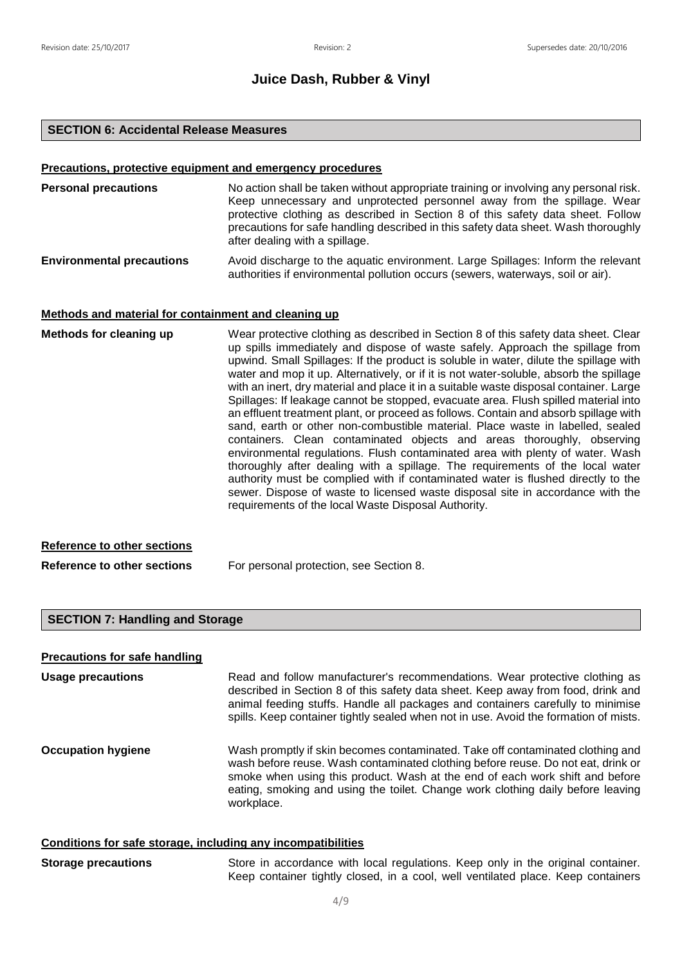#### **SECTION 6: Accidental Release Measures**

#### **Precautions, protective equipment and emergency procedures**

| <b>Personal precautions</b>      | No action shall be taken without appropriate training or involving any personal risk.<br>Keep unnecessary and unprotected personnel away from the spillage. Wear<br>protective clothing as described in Section 8 of this safety data sheet. Follow<br>precautions for safe handling described in this safety data sheet. Wash thoroughly<br>after dealing with a spillage. |
|----------------------------------|-----------------------------------------------------------------------------------------------------------------------------------------------------------------------------------------------------------------------------------------------------------------------------------------------------------------------------------------------------------------------------|
| <b>Environmental precautions</b> | Avoid discharge to the aquatic environment. Large Spillages: Inform the relevant<br>authorities if environmental pollution occurs (sewers, waterways, soil or air).                                                                                                                                                                                                         |

#### **Methods and material for containment and cleaning up**

**Methods for cleaning up** Wear protective clothing as described in Section 8 of this safety data sheet. Clear up spills immediately and dispose of waste safely. Approach the spillage from upwind. Small Spillages: If the product is soluble in water, dilute the spillage with water and mop it up. Alternatively, or if it is not water-soluble, absorb the spillage with an inert, dry material and place it in a suitable waste disposal container. Large Spillages: If leakage cannot be stopped, evacuate area. Flush spilled material into an effluent treatment plant, or proceed as follows. Contain and absorb spillage with sand, earth or other non-combustible material. Place waste in labelled, sealed containers. Clean contaminated objects and areas thoroughly, observing environmental regulations. Flush contaminated area with plenty of water. Wash thoroughly after dealing with a spillage. The requirements of the local water authority must be complied with if contaminated water is flushed directly to the sewer. Dispose of waste to licensed waste disposal site in accordance with the requirements of the local Waste Disposal Authority.

#### **Reference to other sections**

**Reference to other sections** For personal protection, see Section 8.

#### **SECTION 7: Handling and Storage**

#### **Precautions for safe handling**

**Usage precautions Read and follow manufacturer's recommendations. Wear protective clothing as** described in Section 8 of this safety data sheet. Keep away from food, drink and animal feeding stuffs. Handle all packages and containers carefully to minimise spills. Keep container tightly sealed when not in use. Avoid the formation of mists. **Occupation hygiene** Wash promptly if skin becomes contaminated. Take off contaminated clothing and wash before reuse. Wash contaminated clothing before reuse. Do not eat, drink or smoke when using this product. Wash at the end of each work shift and before eating, smoking and using the toilet. Change work clothing daily before leaving

#### **Conditions for safe storage, including any incompatibilities**

workplace.

| <b>Storage precautions</b> |  |  |  |  |  | Store in accordance with local regulations. Keep only in the original container. |
|----------------------------|--|--|--|--|--|----------------------------------------------------------------------------------|
|                            |  |  |  |  |  | Keep container tightly closed, in a cool, well ventilated place. Keep containers |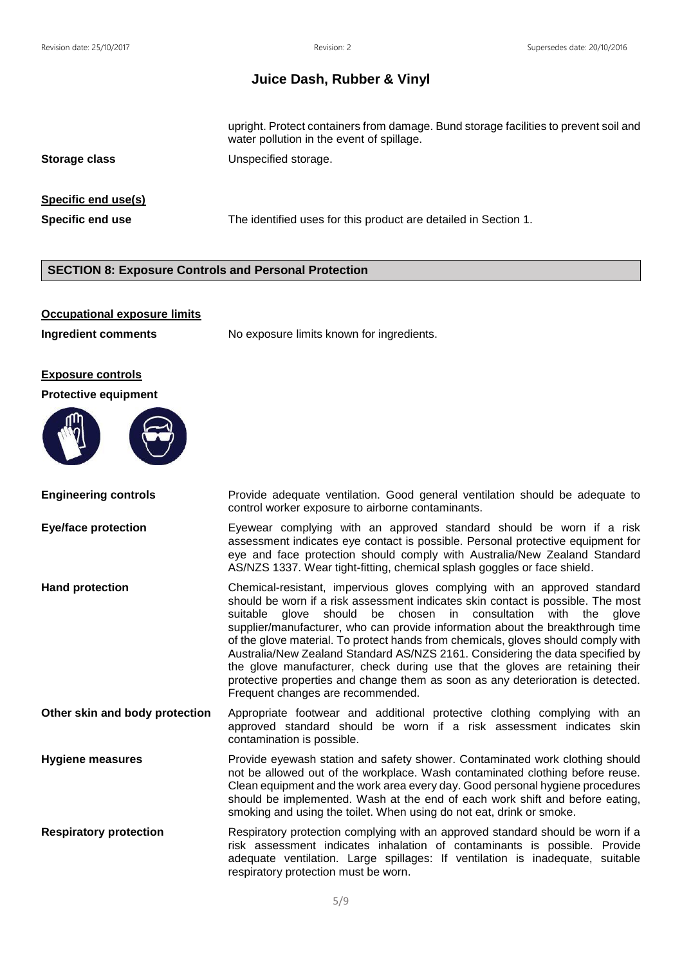upright. Protect containers from damage. Bund storage facilities to prevent soil and water pollution in the event of spillage.

**Storage class** Unspecified storage.

### **Specific end use(s)**

**Specific end use** The identified uses for this product are detailed in Section 1.

### **SECTION 8: Exposure Controls and Personal Protection**

#### **Occupational exposure limits**

**Ingredient comments** No exposure limits known for ingredients.

#### **Exposure controls**

#### **Protective equipment**



**Engineering controls Provide adequate ventilation.** Good general ventilation should be adequate to control worker exposure to airborne contaminants.

**Eye/face protection Eyewear complying with an approved standard should be worn if a risk** assessment indicates eye contact is possible. Personal protective equipment for eye and face protection should comply with Australia/New Zealand Standard AS/NZS 1337. Wear tight-fitting, chemical splash goggles or face shield.

**Hand protection** Chemical-resistant, impervious gloves complying with an approved standard should be worn if a risk assessment indicates skin contact is possible. The most suitable glove should be chosen in consultation with the glove supplier/manufacturer, who can provide information about the breakthrough time of the glove material. To protect hands from chemicals, gloves should comply with Australia/New Zealand Standard AS/NZS 2161. Considering the data specified by the glove manufacturer, check during use that the gloves are retaining their protective properties and change them as soon as any deterioration is detected. Frequent changes are recommended.

**Other skin and body protection** Appropriate footwear and additional protective clothing complying with an approved standard should be worn if a risk assessment indicates skin contamination is possible.

**Hygiene measures** Provide eyewash station and safety shower. Contaminated work clothing should not be allowed out of the workplace. Wash contaminated clothing before reuse. Clean equipment and the work area every day. Good personal hygiene procedures should be implemented. Wash at the end of each work shift and before eating, smoking and using the toilet. When using do not eat, drink or smoke.

**Respiratory protection** Respiratory protection complying with an approved standard should be worn if a risk assessment indicates inhalation of contaminants is possible. Provide adequate ventilation. Large spillages: If ventilation is inadequate, suitable respiratory protection must be worn.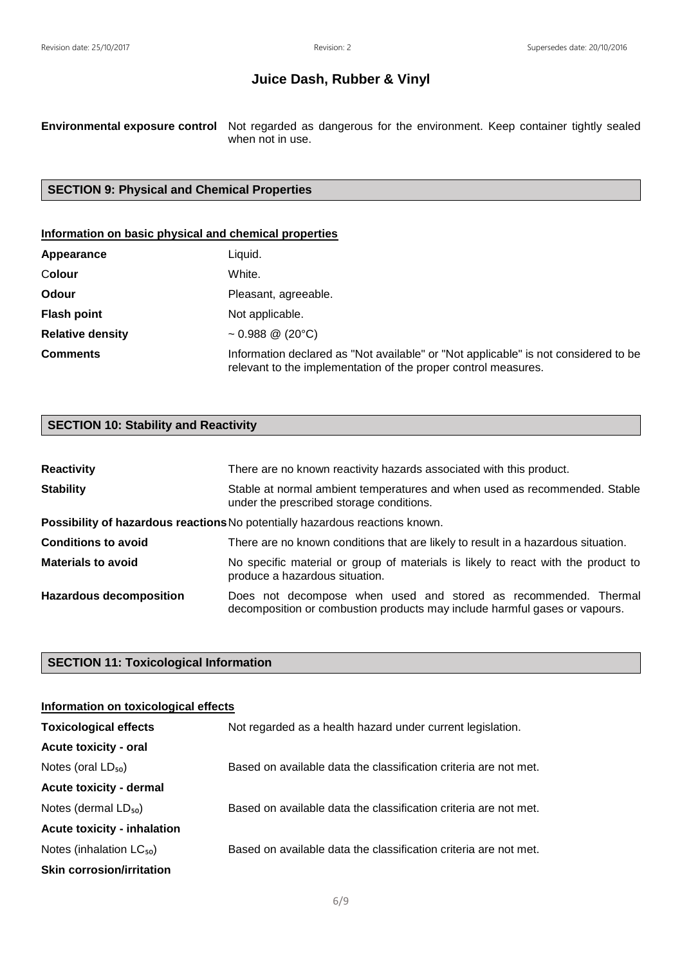**Environmental exposure control** Not regarded as dangerous for the environment. Keep container tightly sealed when not in use.

### **SECTION 9: Physical and Chemical Properties**

### **Information on basic physical and chemical properties**

| Appearance              | Liquid.                                                                                                                                               |
|-------------------------|-------------------------------------------------------------------------------------------------------------------------------------------------------|
| Colour                  | White.                                                                                                                                                |
| Odour                   | Pleasant, agreeable.                                                                                                                                  |
| <b>Flash point</b>      | Not applicable.                                                                                                                                       |
| <b>Relative density</b> | $\sim 0.988 \; \textcircled{2}$ (20°C)                                                                                                                |
| <b>Comments</b>         | Information declared as "Not available" or "Not applicable" is not considered to be<br>relevant to the implementation of the proper control measures. |

## **SECTION 10: Stability and Reactivity**

| <b>Reactivity</b>              | There are no known reactivity hazards associated with this product.                                                                           |  |  |  |  |
|--------------------------------|-----------------------------------------------------------------------------------------------------------------------------------------------|--|--|--|--|
| <b>Stability</b>               | Stable at normal ambient temperatures and when used as recommended. Stable<br>under the prescribed storage conditions.                        |  |  |  |  |
|                                | Possibility of hazardous reactions No potentially hazardous reactions known.                                                                  |  |  |  |  |
| <b>Conditions to avoid</b>     | There are no known conditions that are likely to result in a hazardous situation.                                                             |  |  |  |  |
| <b>Materials to avoid</b>      | No specific material or group of materials is likely to react with the product to<br>produce a hazardous situation.                           |  |  |  |  |
| <b>Hazardous decomposition</b> | Does not decompose when used and stored as recommended. Thermal<br>decomposition or combustion products may include harmful gases or vapours. |  |  |  |  |

### **SECTION 11: Toxicological Information**

### **Information on toxicological effects**

| <b>Toxicological effects</b>       | Not regarded as a health hazard under current legislation.       |
|------------------------------------|------------------------------------------------------------------|
| <b>Acute toxicity - oral</b>       |                                                                  |
| Notes (oral $LD_{50}$ )            | Based on available data the classification criteria are not met. |
| <b>Acute toxicity - dermal</b>     |                                                                  |
| Notes (dermal $LD_{50}$ )          | Based on available data the classification criteria are not met. |
| <b>Acute toxicity - inhalation</b> |                                                                  |
| Notes (inhalation $LC_{50}$ )      | Based on available data the classification criteria are not met. |
| <b>Skin corrosion/irritation</b>   |                                                                  |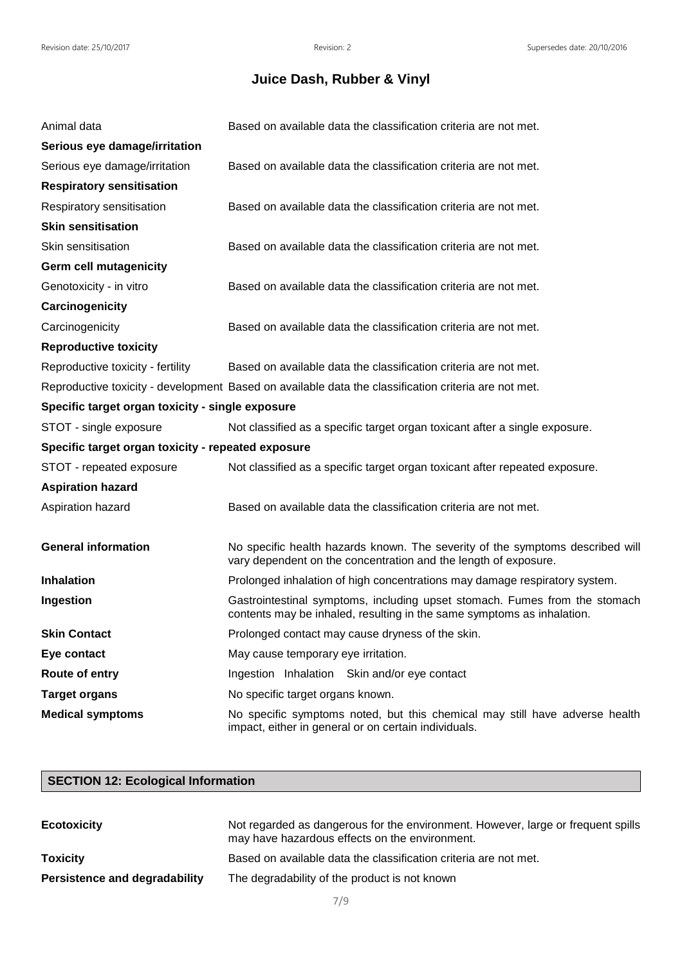| Animal data                                        | Based on available data the classification criteria are not met.                                                                                     |
|----------------------------------------------------|------------------------------------------------------------------------------------------------------------------------------------------------------|
| Serious eye damage/irritation                      |                                                                                                                                                      |
| Serious eye damage/irritation                      | Based on available data the classification criteria are not met.                                                                                     |
| <b>Respiratory sensitisation</b>                   |                                                                                                                                                      |
| Respiratory sensitisation                          | Based on available data the classification criteria are not met.                                                                                     |
| <b>Skin sensitisation</b>                          |                                                                                                                                                      |
| Skin sensitisation                                 | Based on available data the classification criteria are not met.                                                                                     |
| <b>Germ cell mutagenicity</b>                      |                                                                                                                                                      |
| Genotoxicity - in vitro                            | Based on available data the classification criteria are not met.                                                                                     |
| Carcinogenicity                                    |                                                                                                                                                      |
| Carcinogenicity                                    | Based on available data the classification criteria are not met.                                                                                     |
| <b>Reproductive toxicity</b>                       |                                                                                                                                                      |
| Reproductive toxicity - fertility                  | Based on available data the classification criteria are not met.                                                                                     |
|                                                    | Reproductive toxicity - development Based on available data the classification criteria are not met.                                                 |
| Specific target organ toxicity - single exposure   |                                                                                                                                                      |
| STOT - single exposure                             | Not classified as a specific target organ toxicant after a single exposure.                                                                          |
| Specific target organ toxicity - repeated exposure |                                                                                                                                                      |
| STOT - repeated exposure                           | Not classified as a specific target organ toxicant after repeated exposure.                                                                          |
| <b>Aspiration hazard</b>                           |                                                                                                                                                      |
| Aspiration hazard                                  | Based on available data the classification criteria are not met.                                                                                     |
|                                                    |                                                                                                                                                      |
| <b>General information</b>                         | No specific health hazards known. The severity of the symptoms described will<br>vary dependent on the concentration and the length of exposure.     |
| <b>Inhalation</b>                                  | Prolonged inhalation of high concentrations may damage respiratory system.                                                                           |
| Ingestion                                          | Gastrointestinal symptoms, including upset stomach. Fumes from the stomach<br>contents may be inhaled, resulting in the same symptoms as inhalation. |
| <b>Skin Contact</b>                                | Prolonged contact may cause dryness of the skin.                                                                                                     |
| Eye contact                                        | May cause temporary eye irritation.                                                                                                                  |
| Route of entry                                     | Ingestion Inhalation Skin and/or eye contact                                                                                                         |
| <b>Target organs</b>                               | No specific target organs known.                                                                                                                     |
| <b>Medical symptoms</b>                            | No specific symptoms noted, but this chemical may still have adverse health<br>impact, either in general or on certain individuals.                  |

## **SECTION 12: Ecological Information**

| <b>Ecotoxicity</b>            | Not regarded as dangerous for the environment. However, large or frequent spills<br>may have hazardous effects on the environment. |
|-------------------------------|------------------------------------------------------------------------------------------------------------------------------------|
| <b>Toxicity</b>               | Based on available data the classification criteria are not met.                                                                   |
| Persistence and degradability | The degradability of the product is not known                                                                                      |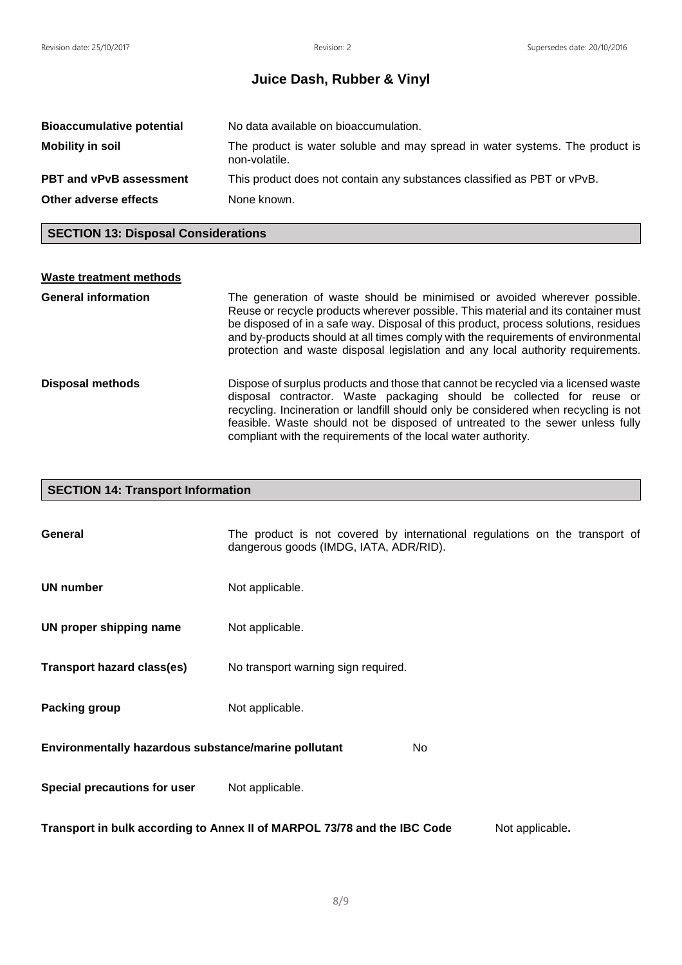| <b>Bioaccumulative potential</b> | No data available on bioaccumulation.                                                         |
|----------------------------------|-----------------------------------------------------------------------------------------------|
| <b>Mobility in soil</b>          | The product is water soluble and may spread in water systems. The product is<br>non-volatile. |
| <b>PBT and vPvB assessment</b>   | This product does not contain any substances classified as PBT or vPvB.                       |
| Other adverse effects            | None known.                                                                                   |

## **SECTION 13: Disposal Considerations**

| <b>Waste treatment methods</b> |                                                                                                                                                                                                                                                                                                                                                                                                                               |
|--------------------------------|-------------------------------------------------------------------------------------------------------------------------------------------------------------------------------------------------------------------------------------------------------------------------------------------------------------------------------------------------------------------------------------------------------------------------------|
| <b>General information</b>     | The generation of waste should be minimised or avoided wherever possible.<br>Reuse or recycle products wherever possible. This material and its container must<br>be disposed of in a safe way. Disposal of this product, process solutions, residues<br>and by-products should at all times comply with the requirements of environmental<br>protection and waste disposal legislation and any local authority requirements. |
| <b>Disposal methods</b>        | Dispose of surplus products and those that cannot be recycled via a licensed waste<br>disposal contractor. Waste packaging should be collected for reuse or<br>recycling. Incineration or landfill should only be considered when recycling is not<br>feasible. Waste should not be disposed of untreated to the sewer unless fully<br>compliant with the requirements of the local water authority.                          |

# **SECTION 14: Transport Information**

| General                                                                                     | The product is not covered by international regulations on the transport of<br>dangerous goods (IMDG, IATA, ADR/RID). |  |  |  |  |
|---------------------------------------------------------------------------------------------|-----------------------------------------------------------------------------------------------------------------------|--|--|--|--|
| <b>UN number</b>                                                                            | Not applicable.                                                                                                       |  |  |  |  |
| UN proper shipping name                                                                     | Not applicable.                                                                                                       |  |  |  |  |
| <b>Transport hazard class(es)</b>                                                           | No transport warning sign required.                                                                                   |  |  |  |  |
| Packing group                                                                               | Not applicable.                                                                                                       |  |  |  |  |
| Environmentally hazardous substance/marine pollutant<br>No.                                 |                                                                                                                       |  |  |  |  |
| Special precautions for user                                                                | Not applicable.                                                                                                       |  |  |  |  |
| Transport in bulk according to Annex II of MARPOL 73/78 and the IBC Code<br>Not applicable. |                                                                                                                       |  |  |  |  |